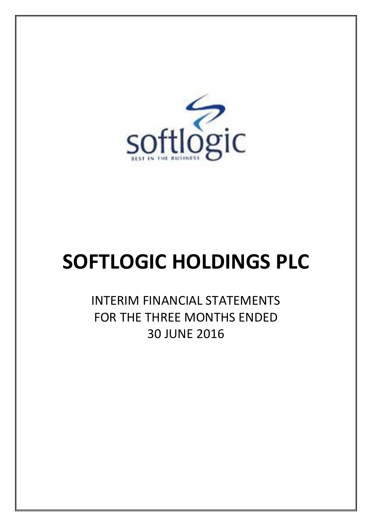

# **SOFTLOGIC HOLDINGS PLC**

INTERIM FINANCIAL STATEMENTS FOR THE THREE MONTHS ENDED 30 JUNE 2016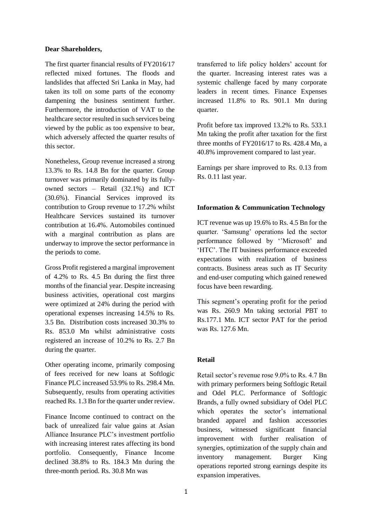#### **Dear Shareholders,**

The first quarter financial results of FY2016/17 reflected mixed fortunes. The floods and landslides that affected Sri Lanka in May, had taken its toll on some parts of the economy dampening the business sentiment further. Furthermore, the introduction of VAT to the healthcare sector resulted in such services being viewed by the public as too expensive to bear, which adversely affected the quarter results of this sector.

Nonetheless, Group revenue increased a strong 13.3% to Rs. 14.8 Bn for the quarter. Group turnover was primarily dominated by its fullyowned sectors – Retail (32.1%) and ICT (30.6%). Financial Services improved its contribution to Group revenue to 17.2% whilst Healthcare Services sustained its turnover contribution at 16.4%. Automobiles continued with a marginal contribution as plans are underway to improve the sector performance in the periods to come.

Gross Profit registered a marginal improvement of 4.2% to Rs. 4.5 Bn during the first three months of the financial year. Despite increasing business activities, operational cost margins were optimized at 24% during the period with operational expenses increasing 14.5% to Rs. 3.5 Bn. Distribution costs increased 30.3% to Rs. 853.0 Mn whilst administrative costs registered an increase of 10.2% to Rs. 2.7 Bn during the quarter.

Other operating income, primarily composing of fees received for new loans at Softlogic Finance PLC increased 53.9% to Rs. 298.4 Mn. Subsequently, results from operating activities reached Rs. 1.3 Bn for the quarter under review.

Finance Income continued to contract on the back of unrealized fair value gains at Asian Alliance Insurance PLC's investment portfolio with increasing interest rates affecting its bond portfolio. Consequently, Finance Income declined 38.8% to Rs. 184.3 Mn during the three-month period. Rs. 30.8 Mn was

transferred to life policy holders' account for the quarter. Increasing interest rates was a systemic challenge faced by many corporate leaders in recent times. Finance Expenses increased 11.8% to Rs. 901.1 Mn during quarter.

Profit before tax improved 13.2% to Rs. 533.1 Mn taking the profit after taxation for the first three months of FY2016/17 to Rs. 428.4 Mn, a 40.8% improvement compared to last year.

Earnings per share improved to Rs. 0.13 from Rs. 0.11 last year.

#### **Information & Communication Technology**

ICT revenue was up 19.6% to Rs. 4.5 Bn for the quarter. 'Samsung' operations led the sector performance followed by ''Microsoft' and 'HTC'. The IT business performance exceeded expectations with realization of business contracts. Business areas such as IT Security and end-user computing which gained renewed focus have been rewarding.

This segment's operating profit for the period was Rs. 260.9 Mn taking sectorial PBT to Rs.177.1 Mn. ICT sector PAT for the period was Rs. 127.6 Mn.

#### **Retail**

Retail sector's revenue rose 9.0% to Rs. 4.7 Bn with primary performers being Softlogic Retail and Odel PLC. Performance of Softlogic Brands, a fully owned subsidiary of Odel PLC which operates the sector's international branded apparel and fashion accessories business, witnessed significant financial improvement with further realisation of synergies, optimization of the supply chain and inventory management. Burger King operations reported strong earnings despite its expansion imperatives.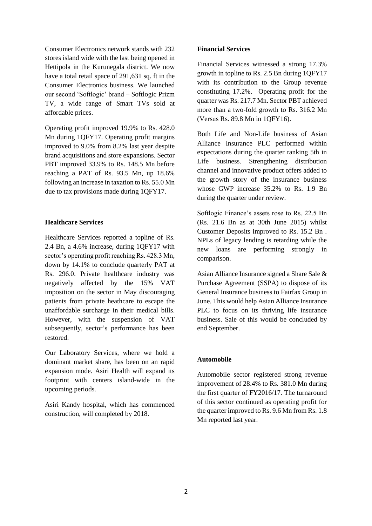Consumer Electronics network stands with 232 stores island wide with the last being opened in Hettipola in the Kurunegala district. We now have a total retail space of 291,631 sq. ft in the Consumer Electronics business. We launched our second 'Softlogic' brand – Softlogic Prizm TV, a wide range of Smart TVs sold at affordable prices.

Operating profit improved 19.9% to Rs. 428.0 Mn during 1QFY17. Operating profit margins improved to 9.0% from 8.2% last year despite brand acquisitions and store expansions. Sector PBT improved 33.9% to Rs. 148.5 Mn before reaching a PAT of Rs. 93.5 Mn, up 18.6% following an increase in taxation to Rs. 55.0 Mn due to tax provisions made during 1QFY17.

#### **Healthcare Services**

Healthcare Services reported a topline of Rs. 2.4 Bn, a 4.6% increase, during 1QFY17 with sector's operating profit reaching Rs. 428.3 Mn, down by 14.1% to conclude quarterly PAT at Rs. 296.0. Private healthcare industry was negatively affected by the 15% VAT imposition on the sector in May discouraging patients from private heathcare to escape the unaffordable surcharge in their medical bills. However, with the suspension of VAT subsequently, sector's performance has been restored.

Our Laboratory Services, where we hold a dominant market share, has been on an rapid expansion mode. Asiri Health will expand its footprint with centers island-wide in the upcoming periods.

Asiri Kandy hospital, which has commenced construction, will completed by 2018.

#### **Financial Services**

Financial Services witnessed a strong 17.3% growth in topline to Rs. 2.5 Bn during 1QFY17 with its contribution to the Group revenue constituting 17.2%. Operating profit for the quarter was Rs. 217.7 Mn. Sector PBT achieved more than a two-fold growth to Rs. 316.2 Mn (Versus Rs. 89.8 Mn in 1QFY16).

Both Life and Non-Life business of Asian Alliance Insurance PLC performed within expectations during the quarter ranking 5th in Life business. Strengthening distribution channel and innovative product offers added to the growth story of the insurance business whose GWP increase 35.2% to Rs. 1.9 Bn during the quarter under review.

Softlogic Finance's assets rose to Rs. 22.5 Bn (Rs. 21.6 Bn as at 30th June 2015) whilst Customer Deposits improved to Rs. 15.2 Bn . NPLs of legacy lending is retarding while the new loans are performing strongly in comparison.

Asian Alliance Insurance signed a Share Sale & Purchase Agreement (SSPA) to dispose of its General Insurance business to Fairfax Group in June. This would help Asian Alliance Insurance PLC to focus on its thriving life insurance business. Sale of this would be concluded by end September.

#### **Automobile**

Automobile sector registered strong revenue improvement of 28.4% to Rs. 381.0 Mn during the first quarter of FY2016/17. The turnaround of this sector continued as operating profit for the quarter improved to Rs. 9.6 Mn from Rs. 1.8 Mn reported last year.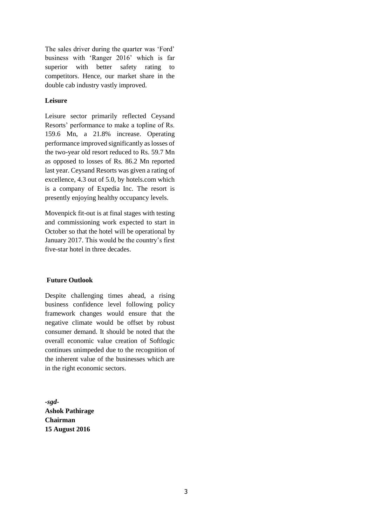The sales driver during the quarter was 'Ford' business with 'Ranger 2016' which is far superior with better safety rating to competitors. Hence, our market share in the double cab industry vastly improved.

#### **Leisure**

Leisure sector primarily reflected Ceysand Resorts' performance to make a topline of Rs. 159.6 Mn, a 21.8% increase. Operating performance improved significantly as losses of the two-year old resort reduced to Rs. 59.7 Mn as opposed to losses of Rs. 86.2 Mn reported last year. Ceysand Resorts was given a rating of excellence, 4.3 out of 5.0, by hotels.com which is a company of Expedia Inc. The resort is presently enjoying healthy occupancy levels.

Movenpick fit-out is at final stages with testing and commissioning work expected to start in October so that the hotel will be operational by January 2017. This would be the country's first five-star hotel in three decades.

#### **Future Outlook**

Despite challenging times ahead, a rising business confidence level following policy framework changes would ensure that the negative climate would be offset by robust consumer demand. It should be noted that the overall economic value creation of Softlogic continues unimpeded due to the recognition of the inherent value of the businesses which are in the right economic sectors.

*-sgd-***Ashok Pathirage Chairman 15 August 2016**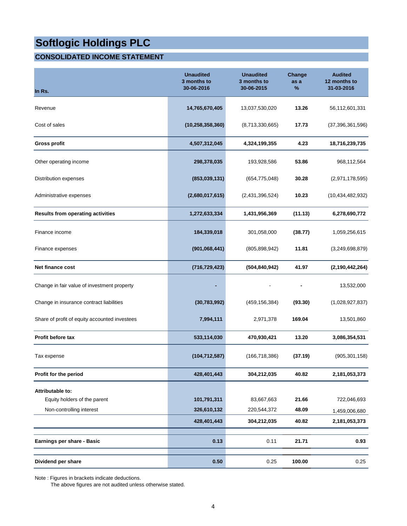### **CONSOLIDATED INCOME STATEMENT**

| In Rs.                                           | <b>Unaudited</b><br>3 months to<br>30-06-2016 | <b>Unaudited</b><br>3 months to<br>30-06-2015 | Change<br>as a<br>% | <b>Audited</b><br>12 months to<br>31-03-2016 |
|--------------------------------------------------|-----------------------------------------------|-----------------------------------------------|---------------------|----------------------------------------------|
| Revenue                                          | 14,765,670,405                                | 13,037,530,020                                | 13.26               | 56,112,601,331                               |
| Cost of sales                                    | (10, 258, 358, 360)                           | (8,713,330,665)                               | 17.73               | (37, 396, 361, 596)                          |
| <b>Gross profit</b>                              | 4,507,312,045                                 | 4,324,199,355                                 | 4.23                | 18,716,239,735                               |
| Other operating income                           | 298,378,035                                   | 193,928,586                                   | 53.86               | 968,112,564                                  |
| Distribution expenses                            | (853,039,131)                                 | (654, 775, 048)                               | 30.28               | (2,971,178,595)                              |
| Administrative expenses                          | (2,680,017,615)                               | (2,431,396,524)                               | 10.23               | (10, 434, 482, 932)                          |
| <b>Results from operating activities</b>         | 1,272,633,334                                 | 1,431,956,369                                 | (11.13)             | 6,278,690,772                                |
| Finance income                                   | 184,339,018                                   | 301,058,000                                   | (38.77)             | 1,059,256,615                                |
| Finance expenses                                 | (901,068,441)                                 | (805, 898, 942)                               | 11.81               | (3,249,698,879)                              |
| <b>Net finance cost</b>                          | (716, 729, 423)                               | (504, 840, 942)                               | 41.97               | (2, 190, 442, 264)                           |
| Change in fair value of investment property      |                                               |                                               |                     | 13,532,000                                   |
| Change in insurance contract liabilities         | (30, 783, 992)                                | (459, 156, 384)                               | (93.30)             | (1,028,927,837)                              |
| Share of profit of equity accounted investees    | 7,994,111                                     | 2,971,378                                     | 169.04              | 13,501,860                                   |
| <b>Profit before tax</b>                         | 533,114,030                                   | 470,930,421                                   | 13.20               | 3,086,354,531                                |
| Tax expense                                      | (104, 712, 587)                               | (166, 718, 386)                               | (37.19)             | (905, 301, 158)                              |
| Profit for the period                            | 428,401,443                                   | 304,212,035                                   | 40.82               | 2,181,053,373                                |
| Attributable to:<br>Equity holders of the parent | 101,791,311                                   | 83,667,663                                    | 21.66               | 722,046,693                                  |
| Non-controlling interest                         | 326,610,132                                   | 220,544,372                                   | 48.09               | 1,459,006,680                                |
|                                                  | 428,401,443                                   | 304,212,035                                   | 40.82               | 2,181,053,373                                |
| Earnings per share - Basic                       | 0.13                                          | 0.11                                          | 21.71               | 0.93                                         |
| Dividend per share                               | 0.50                                          | 0.25                                          | 100.00              | 0.25                                         |

Note : Figures in brackets indicate deductions.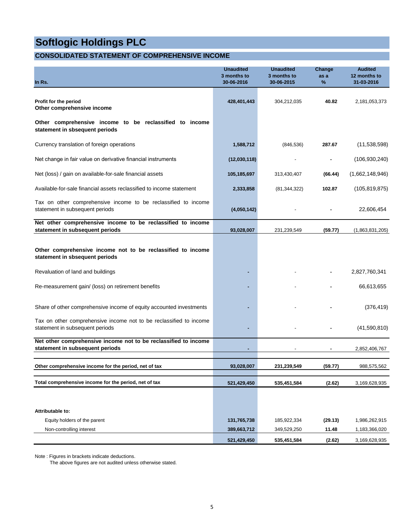#### **CONSOLIDATED STATEMENT OF COMPREHENSIVE INCOME**

| <b>Unaudited</b><br>3 months to<br>30-06-2016 | <b>Unaudited</b><br>3 months to<br>30-06-2015 | Change<br>as a<br>$\%$     | <b>Audited</b><br>12 months to<br>31-03-2016 |
|-----------------------------------------------|-----------------------------------------------|----------------------------|----------------------------------------------|
| 428,401,443                                   | 304,212,035                                   | 40.82                      | 2,181,053,373                                |
|                                               |                                               |                            |                                              |
| 1,588,712                                     | (846, 536)                                    | 287.67                     | (11,538,598)                                 |
| (12,030,118)                                  |                                               |                            | (106, 930, 240)                              |
| 105,185,697                                   | 313,430,407                                   | (66.44)                    | (1,662,148,946)                              |
| 2,333,858                                     | (81, 344, 322)                                | 102.87                     | (105, 819, 875)                              |
| (4,050,142)                                   |                                               |                            | 22,606,454                                   |
| 93,028,007                                    | 231,239,549                                   | (59.77)                    | (1,863,831,205)                              |
|                                               |                                               |                            |                                              |
|                                               |                                               |                            | 2,827,760,341                                |
|                                               |                                               |                            | 66,613,655                                   |
|                                               |                                               |                            | (376, 419)                                   |
|                                               |                                               |                            | (41,590,810)                                 |
|                                               |                                               |                            | 2,852,406,767                                |
| 93,028,007                                    | 231,239,549                                   | (59.77)                    | 988,575,562                                  |
| 521,429,450                                   | 535,451,584                                   | (2.62)                     | 3,169,628,935                                |
|                                               |                                               |                            |                                              |
|                                               |                                               |                            |                                              |
| 131,765,738                                   | 185,922,334                                   | (29.13)                    | 1,986,262,915                                |
|                                               |                                               |                            | 1,183,366,020<br>3,169,628,935               |
|                                               | 389,663,712<br>521,429,450                    | 349,529,250<br>535,451,584 | 11.48<br>(2.62)                              |

Note : Figures in brackets indicate deductions.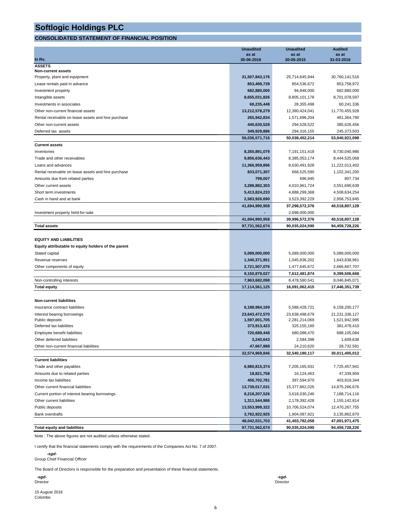#### **CONSOLIDATED STATEMENT OF FINANCIAL POSITION**

|                                                     | <b>Unaudited</b>             | <b>Unaudited</b>               | <b>Audited</b>               |
|-----------------------------------------------------|------------------------------|--------------------------------|------------------------------|
| In Rs.                                              | as at<br>30-06-2016          | as at<br>30-06-2015            | as at<br>31-03-2016          |
| <b>ASSETS</b>                                       |                              |                                |                              |
| <b>Non-current assets</b>                           |                              |                                |                              |
| Property, plant and equipment                       | 31,507,843,176               | 25,714,645,944                 | 30,760,141,516               |
| Lease rentals paid in advance                       | 853,499,739                  | 854,536,672                    | 853,758,972                  |
| Investment property                                 | 682,880,000                  | 94,848,000                     | 682,880,000                  |
| Intangible assets                                   | 8,655,031,826                | 8,805,101,178                  | 8,701,078,597                |
| Investments in associates                           | 68,235,448                   | 28,355,498                     | 60,241,336                   |
| Other non-current financial assets                  | 13,212,578,279               | 12,380,424,041                 | 11,770,455,928               |
| Rental receivable on lease assets and hire purchase | 265,942,834                  | 1,571,696,204                  | 481,364,790                  |
| Other non-current assets                            | 440,630,528                  | 294,528,522                    | 385,626,456                  |
| Deferred tax assets                                 | 349,929,886                  | 294,316,155                    | 245,373,503                  |
|                                                     | 56,036,571,716               | 50,038,452,214                 | 53,940,921,098               |
| <b>Current assets</b>                               |                              |                                |                              |
| Inventories                                         | 8,350,891,079                | 7,191,151,418                  | 8,730,040,986                |
| Trade and other receivables                         | 9,856,636,443                | 8,385,053,174                  | 8,444,525,068                |
| Loans and advances                                  | 11,366,959,896               | 8,630,491,928                  | 11,222,013,402               |
| Rental receivable on lease assets and hire purchase | 833,071,307                  | 668,525,590                    | 1,102,341,200                |
| Amounts due from related parties                    | 799,007                      | 696,945                        | 807,734                      |
| Other current assets                                | 3,288,882,303                | 4,010,961,724                  | 3,551,690,639                |
| Short term investments                              | 5,413,824,233                | 4,888,299,368                  | 4,508,634,254                |
| Cash in hand and at bank                            | 2,583,926,690                | 3,523,392,229                  | 2,958,753,845                |
|                                                     | 41,694,990,958               | 37,298,572,376                 | 40,518,807,128               |
| Investment property held-for-sale                   |                              | 2,698,000,000                  |                              |
|                                                     | 41,694,990,958               | 39,996,572,376                 | 40,518,807,128               |
| <b>Total assets</b>                                 | 97,731,562,674               | 90,035,024,590                 | 94,459,728,226               |
|                                                     |                              |                                |                              |
| <b>EQUITY AND LIABILITIES</b>                       |                              |                                |                              |
| Equity attributable to equity holders of the parent |                              |                                |                              |
| Stated capital                                      | 5,089,000,000                | 5,089,000,000                  | 5,089,000,000                |
| Revenue reserves                                    | 1,340,371,951                | 1,045,836,202                  | 1,643,838,961                |
| Other components of equity                          | 2,721,507,076                | 1,477,645,672                  | 2,666,667,707                |
|                                                     | 9,150,879,027                | 7,612,481,874                  | 9,399,506,668                |
| Non-controlling interests                           | 7,963,682,098                | 8,478,580,541                  | 8,046,845,071                |
| <b>Total equity</b>                                 | 17,114,561,125               | 16,091,062,415                 | 17,446,351,739               |
|                                                     |                              |                                |                              |
| <b>Non-current liabilities</b>                      |                              |                                |                              |
| Insurance contract liabilities                      | 6,188,984,169                | 5,588,428,721                  | 6,158,200,177                |
| Interest bearing borrowings                         | 23,643,472,570               | 23,638,498,679                 | 21,231,336,127               |
| Public deposits<br>Deferred tax liabilities         | 1,597,001,705<br>373,913,423 | 2,281,214,069<br>325, 155, 160 | 1,521,942,995<br>381,478,410 |
| Employee benefit liabilities                        | 720,689,448                  | 680,088,470                    | 688,105,084                  |
| Other deferred liabilities                          | 3,240,643                    | 2,584,398                      | 1,609,638                    |
| Other non-current financial liabilities             | 47,667,888                   | 24,210,620                     | 28,732,581                   |
|                                                     | 32,574,969,846               | 32,540,180,117                 | 30,011,405,012               |
| <b>Current liabilities</b>                          |                              |                                |                              |
| Trade and other payables                            | 6,980,815,374                | 7,205,165,931                  | 7,725,457,941                |
| Amounts due to related parties                      | 18,821,758                   | 16,124,463                     | 47,339,959                   |
| Income tax liabilities                              | 456,702,781                  | 397,594,970                    | 403,919,344                  |
| Other current financial liabilities                 | 13,739,017,031               | 15,377,862,025                 | 14,875,266,676               |
| Current portion of interest bearing borrowings      | 8,218,207,526                | 3,618,030,246                  | 7,188,714,116                |
| Other current liabilities                           | 1,311,544,986                | 2,178,392,428                  | 1,155,142,814                |
| Public deposits                                     | 13,553,999,322               | 10,706,524,074                 | 12,470,267,755               |
| <b>Bank overdrafts</b>                              | 3,762,922,925                | 1,904,087,921                  | 3,135,862,870                |
|                                                     | 48,042,031,703               | 41,403,782,058                 | 47,001,971,475               |
| <b>Total equity and liabilities</b>                 | 97,731,562,674               | 90,035,024,590                 | 94,459,728,226               |

Note : The above figures are not audited unless otherwise stated.

I certify that the financial statements comply with the requirements of the Companies Act No. 7 of 2007.

 *-sgd-*Group Chief Financial Officer

The Board of Directors is responsible for the preparation and presentation of these financial statements.

 *-sgd- -sgd-*Director Director

15 August 2016 Colombo

6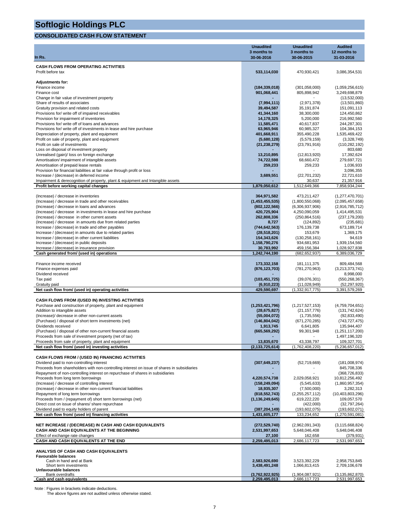#### **CONSOLIDATED CASH FLOW STATEMENT**

|                                                                                                                          | <b>Unaudited</b>                 | <b>Unaudited</b>                 | <b>Audited</b>                      |
|--------------------------------------------------------------------------------------------------------------------------|----------------------------------|----------------------------------|-------------------------------------|
|                                                                                                                          | 3 months to                      | 3 months to                      | 12 months to                        |
| In Rs.                                                                                                                   | 30-06-2016                       | 30-06-2015                       | 31-03-2016                          |
| <b>CASH FLOWS FROM OPERATING ACTIVITIES</b>                                                                              |                                  |                                  |                                     |
| Profit before tax                                                                                                        | 533,114,030                      | 470,930,421                      | 3,086,354,531                       |
| <b>Adjustments for:</b>                                                                                                  |                                  |                                  |                                     |
| Finance income                                                                                                           | (184, 339, 018)                  | (301, 058, 000)                  | (1,059,256,615)                     |
| Finance cost                                                                                                             | 901,068,441                      | 805,898,942                      | 3,249,698,879                       |
| Change in fair value of investment property<br>Share of results of associates                                            | (7,994,111)                      | (2,971,378)                      | (13,532,000)<br>(13,501,860)        |
| Gratuity provision and related costs                                                                                     | 39,494,587                       | 35, 191, 874                     | 151,091,113                         |
| Provisions for/ write off of impaired receivables                                                                        | 41,344,160                       | 38,300,000                       | 124,450,862                         |
| Provision for impairment of inventories                                                                                  | 14,178,325                       | 5,200,000                        | 216,992,560                         |
| Provisions for/ write off of loans and advances<br>Provisions for/write off of investments in lease and hire purchase    | 11,585,471<br>63,965,946         | 40,617,837<br>60,985,327         | 244,287,301<br>104,384,153          |
| Depreciation of property, plant and equipment                                                                            | 401,668,911                      | 355,490,228                      | 1,535,469,422                       |
| Profit on sale of property, plant and equipment                                                                          | (5,680,128)                      | (5,579,159)                      | (3,328,749)                         |
| Profit on sale of investments                                                                                            | (21, 238, 279)                   | (23,791,916)                     | (110, 282, 192)                     |
| Loss on disposal of investment property                                                                                  |                                  |                                  | 803,680                             |
| Unrealised (gain)/ loss on foreign exchange<br>Amortisation/ impairment of intangible assets                             | 13,210,895<br>74,722,598         | (12, 813, 920)<br>68,660,472     | 17,392,624<br>279,697,721           |
| Amortisation of prepaid lease rentals                                                                                    | 259,233                          | 259,233                          | 1,036,933                           |
| Provision for financial liabilities at fair value through profit or loss                                                 |                                  |                                  | 3,096,355                           |
| Increase / (decrease) in deferred income                                                                                 | 3,689,551                        | (22, 701, 232)                   | 22,721,610                          |
| Impairment & derecognition of property, plant & equipment and Intangible assets<br>Profit before working capital changes | 1,879,050,612                    | 30,637<br>1,512,649,366          | 21,357,916<br>7,858,934,244         |
|                                                                                                                          |                                  |                                  |                                     |
| (Increase) / decrease in inventories                                                                                     | 364,971,582                      | 473,211,427                      | (1,277,470,701)                     |
| (Increase) / decrease in trade and other receivables                                                                     | (1,453,455,535)                  | (1,800,550,068)                  | (2,095,457,658)                     |
| (Increase) / decrease in loans and advances                                                                              | (802, 122, 566)                  | (6,306,937,906)                  | (2,916,785,712)                     |
| (Increase) / decrease in investments in lease and hire purchase<br>(Increase) / decrease in other current assets         | 420,725,904<br>262,808,336       | 4,250,090,059<br>(250, 864, 516) | 1,414,495,531<br>(237, 179, 200)    |
| (Increase) / decrease in amounts due from related parties                                                                | 8,727                            | (124, 892)                       | (235, 681)                          |
| Increase / (decrease) in trade and other payables                                                                        | (744, 642, 563)                  | 176,139,738                      | 673,189,714                         |
| Increase / (decrease) in amounts due to related parties                                                                  | (28, 518, 201)                   | 153,679                          | 1,369,175                           |
| Increase / (decrease) in other current liabilities                                                                       | 154,343,626                      | (130, 258, 161)                  | 94,619                              |
| Increase / (decrease) in public deposits<br>Increase / (decrease) in insurance provision                                 | 1,158,790,276<br>30,783,992      | 934,681,953<br>459,156,384       | 1,939,154,560<br>1,028,927,838      |
| Cash generated from/ (used in) operations                                                                                | 1,242,744,190                    | (682, 652, 937)                  | 6,389,036,729                       |
|                                                                                                                          |                                  |                                  |                                     |
| Finance income received                                                                                                  | 173,332,158                      | 181, 111, 375                    | 809,484,568                         |
| Finance expenses paid<br>Dividend received                                                                               | (876, 123, 703)                  | (781,270,963)                    | (3,213,373,741)<br>8,998,000        |
| Tax paid                                                                                                                 | (103,451,725)                    | (39,076,301)                     | (550, 268, 367)                     |
| Gratuity paid                                                                                                            | (6,910,223)                      | (11,028,949)                     | (52, 297, 920)                      |
| Net cash flow from/ (used in) operating activities                                                                       | 429,590,697                      | (1, 332, 917, 775)               | 3,391,579,269                       |
| <b>CASH FLOWS FROM /(USED IN) INVESTING ACTIVITIES</b>                                                                   |                                  |                                  |                                     |
| Purchase and construction of property, plant and equipment                                                               | (1,253,421,796)                  | (1,217,527,153)                  | (4,759,704,651)                     |
| Addition to intangible assets                                                                                            | (28, 675, 827)                   | (21, 157, 776)                   | (131, 742, 624)                     |
| (Increase)/ decrease in other non-current assets                                                                         | (55,004,072)                     | (1,735,556)                      | (92, 833, 490)                      |
| (Purchase) / disposal of short term investments (net)                                                                    | (146, 804, 042)                  | (671, 270, 285)                  | (743, 727, 475)                     |
| Dividends received<br>(Purchase) / disposal of other non-current financial assets                                        | 1,913,745<br>(665, 569, 292)     | 6,641,805<br>99,301,948          | 135,944,407<br>(1,251,117,200)      |
| Proceeds from sale of investment property (net of tax)                                                                   |                                  |                                  | 1,497,196,320                       |
| Proceeds from sale of property, plant and equipment                                                                      | 13,835,670                       | 43,338,797                       | 109,327,701                         |
| Net cash flow from/ (used in) investing activities                                                                       | (2, 133, 725, 614)               | (1,762,408,220)                  | (5,236,657,012)                     |
| CASH FLOWS FROM / (USED IN) FINANCING ACTIVITIES                                                                         |                                  |                                  |                                     |
| Dividend paid to non-controlling interest                                                                                | (307, 649, 237)                  | (52, 719, 669)                   | (181,008,974)                       |
| Proceeds from shareholders with non-controlling interest on issue of shares in subsidiaries                              |                                  |                                  | 845,708,336                         |
| Repayment of non-controlling interest on repurchase of shares in subsidiaries                                            |                                  |                                  | (368, 726, 833)                     |
| Proceeds from long term borrowings<br>(Increase) / decrease of controlling interest                                      | 4,220,574,738<br>(158, 249, 094) | 2,029,058,921                    | 10,812,256,492<br>(1,860,957,354)   |
| (Increase) / decrease in other non-current financial liabilities                                                         | 18,935,307                       | (5, 545, 633)<br>(7,500,000)     | 3,282,313                           |
| Repayment of long term borrowings                                                                                        | (818, 552, 743)                  | (2, 255, 257, 112)               | (10, 403, 803, 296)                 |
| Proceeds from / (repayment of) short term borrowings (net)                                                               | (1, 136, 249, 645)               | 619,222,220                      | 109,057,570                         |
| Direct cost on issue of shares/ share repurchase                                                                         |                                  | (422,000)                        | (32,797,264)                        |
| Dividend paid to equity holders of parent<br>Net cash flow from/ (used in) financing activities                          | (387, 204, 149)<br>1,431,605,177 | (193, 602, 075)<br>133,234,652   | (193, 602, 071)                     |
|                                                                                                                          |                                  |                                  | (1,270,591,081)                     |
| NET INCREASE / (DECREASE) IN CASH AND CASH EQUIVALENTS                                                                   | (272, 529, 740)                  | (2,962,091,343)                  | (3, 115, 668, 824)                  |
| CASH AND CASH EQUIVALENTS AT THE BEGINNING                                                                               | 2,531,997,653                    | 5,648,046,408                    | 5,648,046,408                       |
| Effect of exchange rate changes                                                                                          | 27,100                           | 162,658                          | (379,931)                           |
| CASH AND CASH EQUIVALENTS AT THE END                                                                                     | 2,259,495,013                    | 2,686,117,723                    | 2,531,997,653                       |
| ANALYSIS OF CASH AND CASH EQUIVALENTS                                                                                    |                                  |                                  |                                     |
| <b>Favourable balances</b>                                                                                               |                                  |                                  |                                     |
| Cash in hand and at Bank<br>Short term investments                                                                       | 2,583,926,690<br>3,438,491,248   | 3,523,392,229<br>1,066,813,415   | 2,958,753,845<br>2,709,106,678      |
| Unfavourable balances                                                                                                    |                                  |                                  |                                     |
| <b>Bank overdrafts</b><br>Cash and cash equivalents                                                                      | (3,762,922,925)<br>2,259,495,013 | (1,904,087,921)<br>2,686,117,723 | (3, 135, 862, 870)<br>2,531,997,653 |
|                                                                                                                          |                                  |                                  |                                     |

Note : Figures in brackets indicate deductions. The above figures are not audited unless otherwise stated.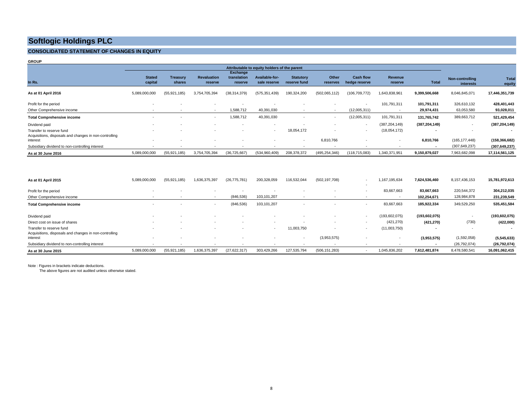#### **CONSOLIDATED STATEMENT OF CHANGES IN EQUITY**

**GROUP**

|                                                                                    | Attributable to equity holders of the parent |                           |                               |                                    |                                |                                  |                          |                                   |                           |                          |                              |                          |
|------------------------------------------------------------------------------------|----------------------------------------------|---------------------------|-------------------------------|------------------------------------|--------------------------------|----------------------------------|--------------------------|-----------------------------------|---------------------------|--------------------------|------------------------------|--------------------------|
| In Rs.                                                                             | <b>Stated</b><br>capital                     | <b>Treasury</b><br>shares | <b>Revaluation</b><br>reserve | Exchange<br>translation<br>reserve | Available-for-<br>sale reserve | <b>Statutory</b><br>reserve fund | Other<br>reserves        | <b>Cash flow</b><br>hedge reserve | <b>Revenue</b><br>reserve | <b>Total</b>             | Non-controlling<br>interests | Total<br>equity          |
| As at 01 April 2016                                                                | 5,089,000,000                                | (55, 921, 185)            | 3,754,705,394                 | (38, 314, 379)                     | (575, 351, 439)                | 190,324,200                      | (502,065,112)            | (106, 709, 772)                   | 1,643,838,961             | 9,399,506,668            | 8,046,845,071                | 17,446,351,739           |
| Profit for the period                                                              |                                              |                           | $\overline{\phantom{a}}$      |                                    |                                |                                  |                          | $\sim$                            | 101,791,311               | 101,791,311              | 326,610,132                  | 428,401,443              |
| Other Comprehensive income                                                         |                                              |                           | $\overline{\phantom{a}}$      | 1,588,712                          | 40,391,030                     |                                  | $\overline{\phantom{a}}$ | (12,005,311)                      |                           | 29,974,431               | 63,053,580                   | 93,028,011               |
| <b>Total Comprehensive income</b>                                                  |                                              |                           | $\overline{\phantom{a}}$      | 1,588,712                          | 40,391,030                     | $\sim$                           | $\overline{\phantom{a}}$ | (12,005,311)                      | 101,791,311               | 131,765,742              | 389,663,712                  | 521,429,454              |
| Dividend paid                                                                      |                                              |                           | $\overline{\phantom{a}}$      |                                    |                                |                                  |                          |                                   | (387, 204, 149)           | (387, 204, 149)          | $\overline{\phantom{a}}$     | (387, 204, 149)          |
| Transfer to reserve fund<br>Acquisitions, disposals and changes in non-controlling |                                              |                           |                               |                                    | $\sim$                         | 18,054,172                       |                          | $\sim$                            | (18,054,172)              | $\blacksquare$           | $\overline{\phantom{a}}$     | $\overline{\phantom{a}}$ |
| interest                                                                           |                                              |                           |                               |                                    |                                | $\sim$                           | 6,810,766                |                                   |                           | 6,810,766                | (165, 177, 448)              | (158, 366, 682)          |
| Subsidiary dividend to non-controlling interest                                    | $\overline{\phantom{a}}$                     | $\overline{\phantom{a}}$  |                               |                                    |                                |                                  |                          |                                   |                           | $\overline{\phantom{a}}$ | (307, 649, 237)              | (307, 649, 237)          |
| As at 30 June 2016                                                                 | 5,089,000,000                                | (55, 921, 185)            | 3,754,705,394                 | (36, 725, 667)                     | (534,960,409)                  | 208,378,372                      | (495, 254, 346)          | (118, 715, 083)                   | 1,340,371,951             | 9,150,879,027            | 7,963,682,098                | 17,114,561,125           |

| As at 01 April 2015                                                                | 5,089,000,000            | (55, 921, 185) | 1,636,375,397            | (26, 775, 781) | 200,328,059 | 116,532,044 | (502, 197, 708) | 1,167,195,634   | 7.624.536.460             | 8,157,436,153              | 15,781,972,613             |
|------------------------------------------------------------------------------------|--------------------------|----------------|--------------------------|----------------|-------------|-------------|-----------------|-----------------|---------------------------|----------------------------|----------------------------|
| Profit for the period<br>Other Comprehensive income                                |                          |                |                          | (846, 536)     | 103,101,207 |             |                 | 83,667,663      | 83,667,663<br>102,254,671 | 220,544,372<br>128,984,878 | 304,212,035<br>231,239,549 |
| <b>Total Comprehensive income</b>                                                  | $\overline{\phantom{a}}$ |                | $\overline{\phantom{a}}$ | (846, 536)     | 103,101,207 |             |                 | 83,667,663      | 185,922,334               | 349,529,250                | 535,451,584                |
| Dividend paid                                                                      |                          |                |                          |                |             |             |                 | (193, 602, 075) | (193, 602, 075)           |                            | (193, 602, 075)            |
| Direct cost on issue of shares                                                     |                          |                |                          |                | $\sim$      |             |                 | (421, 270)      | (421, 270)                | (730)                      | (422,000)                  |
| Transfer to reserve fund<br>Acquisitions, disposals and changes in non-controlling |                          |                |                          |                |             | 11,003,750  |                 | (11,003,750)    |                           |                            | $\overline{\phantom{a}}$   |
| interest                                                                           |                          |                |                          |                |             | $\sim$      | (3,953,575)     |                 | (3,953,575)               | (1,592,058)                | (5,545,633)                |
| Subsidiary dividend to non-controlling interest                                    |                          |                |                          |                |             |             |                 |                 | $\overline{\phantom{a}}$  | (26, 792, 074)             | (26, 792, 074)             |
| As at 30 June 2015                                                                 | 5.089.000.000            | (55, 921, 185) | 1,636,375,397            | (27, 622, 317) | 303.429.266 | 127.535.794 | (506, 151, 283) | 1.045.836.202   | 7,612,481,874             | 8.478.580.541              | 16,091,062,415             |

Note : Figures in brackets indicate deductions.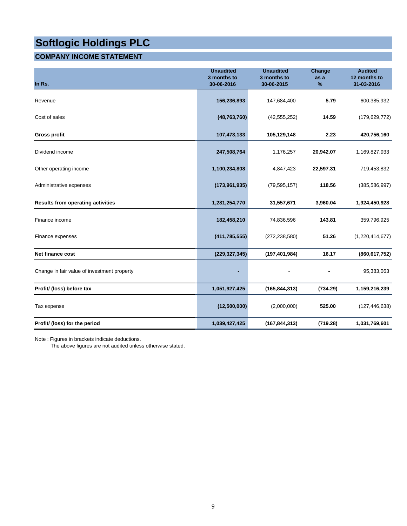#### **COMPANY INCOME STATEMENT**

| In Rs.                                      | <b>Unaudited</b><br>3 months to<br>30-06-2016 | <b>Unaudited</b><br>3 months to<br>30-06-2015 | Change<br>as a<br>% | <b>Audited</b><br>12 months to<br>31-03-2016 |
|---------------------------------------------|-----------------------------------------------|-----------------------------------------------|---------------------|----------------------------------------------|
| Revenue                                     | 156,236,893                                   | 147,684,400                                   | 5.79                | 600,385,932                                  |
| Cost of sales                               | (48, 763, 760)                                | (42, 555, 252)                                | 14.59               | (179, 629, 772)                              |
| <b>Gross profit</b>                         | 107,473,133                                   | 105,129,148                                   | 2.23                | 420,756,160                                  |
| Dividend income                             | 247,508,764                                   | 1,176,257                                     | 20,942.07           | 1,169,827,933                                |
| Other operating income                      | 1,100,234,808                                 | 4,847,423                                     | 22,597.31           | 719,453,832                                  |
| Administrative expenses                     | (173, 961, 935)                               | (79, 595, 157)                                | 118.56              | (385, 586, 997)                              |
| <b>Results from operating activities</b>    | 1,281,254,770                                 | 31,557,671                                    | 3,960.04            | 1,924,450,928                                |
| Finance income                              | 182,458,210                                   | 74,836,596                                    | 143.81              | 359,796,925                                  |
| Finance expenses                            | (411, 785, 555)                               | (272, 238, 580)                               | 51.26               | (1,220,414,677)                              |
| Net finance cost                            | (229, 327, 345)                               | (197, 401, 984)                               | 16.17               | (860, 617, 752)                              |
| Change in fair value of investment property |                                               |                                               |                     | 95,383,063                                   |
| Profit/ (loss) before tax                   | 1,051,927,425                                 | (165, 844, 313)                               | (734.29)            | 1,159,216,239                                |
| Tax expense                                 | (12,500,000)                                  | (2,000,000)                                   | 525.00              | (127, 446, 638)                              |
| Profit/ (loss) for the period               | 1,039,427,425                                 | (167, 844, 313)                               | (719.28)            | 1,031,769,601                                |

Note : Figures in brackets indicate deductions.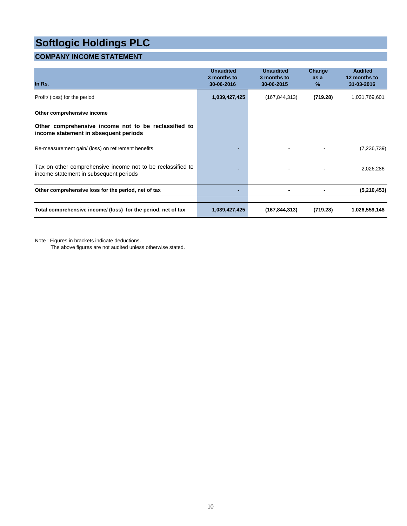#### **COMPANY INCOME STATEMENT**

| In Rs.                                                                                                | <b>Unaudited</b><br>3 months to<br>30-06-2016 | <b>Unaudited</b><br>3 months to<br>30-06-2015 | Change<br>as a<br>% | <b>Audited</b><br>12 months to<br>31-03-2016 |
|-------------------------------------------------------------------------------------------------------|-----------------------------------------------|-----------------------------------------------|---------------------|----------------------------------------------|
| Profit/ (loss) for the period                                                                         | 1,039,427,425                                 | (167, 844, 313)                               | (719.28)            | 1,031,769,601                                |
| Other comprehensive income                                                                            |                                               |                                               |                     |                                              |
| Other comprehensive income not to be reclassified to<br>income statement in sbsequent periods         |                                               |                                               |                     |                                              |
| Re-measurement gain/ (loss) on retirement benefits                                                    |                                               |                                               |                     | (7,236,739)                                  |
| Tax on other comprehensive income not to be reclassified to<br>income statement in subsequent periods |                                               |                                               |                     | 2,026,286                                    |
| Other comprehensive loss for the period, net of tax                                                   |                                               |                                               |                     | (5,210,453)                                  |
|                                                                                                       |                                               |                                               |                     |                                              |
| Total comprehensive income/ (loss) for the period, net of tax                                         | 1,039,427,425                                 | (167, 844, 313)                               | (719.28)            | 1,026,559,148                                |

Note : Figures in brackets indicate deductions.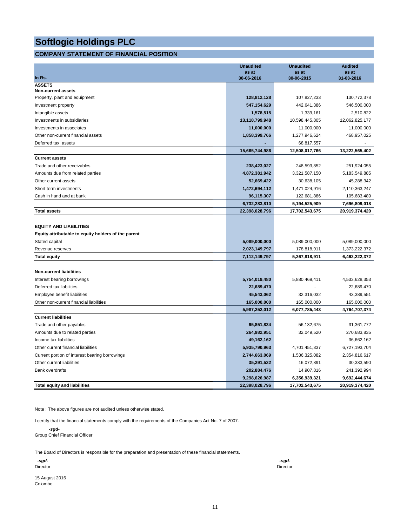#### **COMPANY STATEMENT OF FINANCIAL POSITION**

|                                                     | <b>Unaudited</b> | <b>Unaudited</b> | <b>Audited</b> |
|-----------------------------------------------------|------------------|------------------|----------------|
|                                                     | as at            | as at            | as at          |
| In Rs.<br><b>ASSETS</b>                             | 30-06-2016       | 30-06-2015       | 31-03-2016     |
| <b>Non-current assets</b>                           |                  |                  |                |
| Property, plant and equipment                       | 128,812,128      | 107,827,233      | 130,772,378    |
| Investment property                                 | 547, 154, 629    | 442,641,386      | 546,500,000    |
| Intangible assets                                   | 1,578,515        | 1,339,161        | 2,510,822      |
| Investments in subsidiaries                         | 13,118,799,948   | 10,598,445,805   | 12,062,825,177 |
| Investments in associates                           | 11,000,000       | 11,000,000       | 11,000,000     |
| Other non-current financial assets                  | 1,858,399,766    | 1,277,946,624    | 468,957,025    |
| Deferred tax assets                                 |                  | 68,817,557       |                |
|                                                     | 15,665,744,986   | 12,508,017,766   | 13,222,565,402 |
| <b>Current assets</b>                               |                  |                  |                |
| Trade and other receivables                         | 238,423,027      | 248,593,852      | 251,924,055    |
| Amounts due from related parties                    | 4,872,381,942    | 3,321,587,150    | 5,183,549,885  |
| Other current assets                                | 52,669,422       | 30,638,105       | 45,288,342     |
| Short term investments                              | 1,472,694,112    | 1,471,024,916    | 2,110,363,247  |
| Cash in hand and at bank                            | 96,115,307       | 122,681,886      | 105,683,489    |
|                                                     | 6,732,283,810    | 5,194,525,909    | 7,696,809,018  |
| <b>Total assets</b>                                 | 22,398,028,796   | 17,702,543,675   | 20,919,374,420 |
|                                                     |                  |                  |                |
| <b>EQUITY AND LIABILITIES</b>                       |                  |                  |                |
| Equity attributable to equity holders of the parent |                  |                  |                |
| Stated capital                                      | 5,089,000,000    | 5,089,000,000    | 5,089,000,000  |
| Revenue reserves                                    | 2,023,149,797    | 178,818,911      | 1,373,222,372  |
| <b>Total equity</b>                                 | 7,112,149,797    | 5,267,818,911    | 6,462,222,372  |
|                                                     |                  |                  |                |
| <b>Non-current liabilities</b>                      |                  |                  |                |
| Interest bearing borrowings                         | 5,754,019,480    | 5,880,469,411    | 4,533,628,353  |
| Deferred tax liabilities                            | 22,689,470       |                  | 22,689,470     |
| Employee benefit liabilities                        | 45,543,062       | 32,316,032       | 43,389,551     |
| Other non-current financial liabilities             | 165,000,000      | 165,000,000      | 165,000,000    |
|                                                     | 5,987,252,012    | 6,077,785,443    | 4,764,707,374  |
| <b>Current liabilities</b>                          |                  |                  |                |
| Trade and other payables                            | 65,851,834       | 56,132,675       | 31,361,772     |
| Amounts due to related parties                      | 264,982,951      | 32,049,520       | 270,683,835    |
| Income tax liabilities                              | 49,162,162       |                  | 36,662,162     |
| Other current financial liabilities                 | 5,935,790,963    | 4,701,451,337    | 6,727,193,704  |
| Current portion of interest bearing borrowings      | 2,744,663,069    | 1,536,325,082    | 2,354,816,617  |
| Other current liabilities                           | 35,291,532       | 16,072,891       | 30,333,590     |
| <b>Bank overdrafts</b>                              | 202,884,476      | 14,907,816       | 241,392,994    |
|                                                     | 9,298,626,987    | 6,356,939,321    | 9,692,444,674  |
| <b>Total equity and liabilities</b>                 | 22,398,028,796   | 17,702,543,675   | 20,919,374,420 |

Note : The above figures are not audited unless otherwise stated.

I certify that the financial statements comply with the requirements of the Companies Act No. 7 of 2007.

 *-sgd-*Group Chief Financial Officer

The Board of Directors is responsible for the preparation and presentation of these financial statements.

| -sgd-    | -sgd-    |
|----------|----------|
| Director | Director |
|          |          |

15 August 2016 Colombo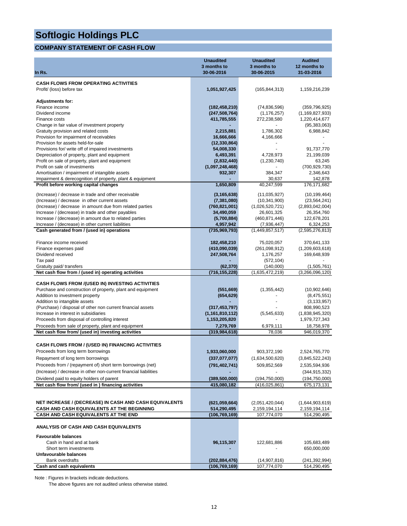#### **COMPANY STATEMENT OF CASH FLOW**

|                                                                                    | <b>Unaudited</b><br>3 months to    | <b>Unaudited</b><br>3 months to | <b>Audited</b><br>12 months to |
|------------------------------------------------------------------------------------|------------------------------------|---------------------------------|--------------------------------|
| In Rs.                                                                             | 30-06-2016                         | 30-06-2015                      | 31-03-2016                     |
| <b>CASH FLOWS FROM OPERATING ACTIVITIES</b>                                        |                                    |                                 |                                |
| Profit/ (loss) before tax                                                          | 1,051,927,425                      | (165, 844, 313)                 | 1,159,216,239                  |
|                                                                                    |                                    |                                 |                                |
| <b>Adjustments for:</b>                                                            |                                    |                                 |                                |
| Finance income                                                                     | (182, 458, 210)                    | (74, 836, 596)                  | (359, 796, 925)                |
| Dividend income                                                                    | (247, 508, 764)                    | (1, 176, 257)                   | (1, 169, 827, 933)             |
| Finance costs                                                                      | 411,785,555                        | 272,238,580                     | 1,220,414,677                  |
| Change in fair value of investment property                                        |                                    |                                 | (95, 383, 063)                 |
| Gratuity provision and related costs<br>Provision for impairment of receivables    | 2,215,881                          | 1,786,302                       | 6,988,842                      |
| Provision for assets held-for-sale                                                 | 16,666,666<br>(12, 330, 864)       | 4,166,666                       |                                |
| Provisions for/ write off of impaired investments                                  | 54,008,330                         |                                 | 91,737,770                     |
| Depreciation of property, plant and equipment                                      | 6,493,391                          | 4,728,973                       | 21,199,039                     |
| Profit on sale of property, plant and equipment                                    | (2,832,440)                        | (1,230,740)                     | 63,245                         |
| Profit on sale of investments                                                      | (1,097,248,468)                    |                                 | (700, 929, 730)                |
| Amortisation / impairment of intangible assets                                     | 932,307                            | 384,347                         | 2,346,643                      |
| Impairment & derecognition of property, plant & equipment                          |                                    | 30,637                          | 142,878                        |
| Profit before working capital changes                                              | 1,650,809                          | 40,247,599                      | 176, 171, 682                  |
| (Increase) / decrease in trade and other receivable                                | (3, 165, 638)                      | (11,035,927)                    | (10, 199, 464)                 |
| (Increase) / decrease in other current assets                                      | (7, 381, 080)                      | (10, 341, 900)                  | (23, 564, 241)                 |
| (Increase) / decrease in amount due from related parties                           | (760, 821, 001)                    | (1,026,520,721)                 | (2,893,042,004)                |
| Increase / (decrease) in trade and other payables                                  | 34,490,059                         | 26,601,325                      | 26,354,760                     |
| Increase / (decrease) in amount due to related parties                             | (5,700,884)                        | (460, 871, 446)                 | 122,678,201                    |
| Increase / (decrease) in other current liabilities                                 | 4,957,942                          | (7,936,447)                     | 6,324,253                      |
| Cash generated from / (used in) operations                                         | (735, 969, 793)                    | (1,449,857,517)                 | (2,595,276,813)                |
| Finance income received                                                            |                                    |                                 |                                |
|                                                                                    | 182,458,210                        | 75,020,057                      | 370,641,133                    |
| Finance expenses paid<br>Dividend received                                         | (410,090,039)<br>247,508,764       | (261,098,912)<br>1,176,257      | (1,209,603,618)<br>169,648,939 |
| Tax paid                                                                           |                                    | (572, 104)                      |                                |
| Gratuity paid/ transfers                                                           | (62, 370)                          | (140,000)                       | (1,505,761)                    |
| Net cash flow from / (used in) operating activities                                | (716, 155, 228)                    | (1,635,472,219)                 | (3,266,096,120)                |
|                                                                                    |                                    |                                 |                                |
| <b>CASH FLOWS FROM /(USED IN) INVESTING ACTIVITIES</b>                             |                                    |                                 |                                |
| Purchase and construction of property, plant and equipment                         | (551, 669)                         | (1,355,442)                     | (10,902,646)                   |
| Addition to investment property<br>Addition to intangible assets                   | (654, 629)                         |                                 | (8,475,551)<br>(3, 133, 957)   |
| (Purchase) / disposal of other non current financial assets                        | (317, 453, 797)                    |                                 | 808,990,523                    |
| Increase in interest in subsidiaries                                               | (1, 161, 810, 112)                 | (5, 545, 633)                   | (1,838,945,320)                |
| Proceeds from disposal of controlling interest                                     | 1,153,205,820                      |                                 | 1,979,727,343                  |
| Proceeds from sale of property, plant and equipment                                | 7,279,769                          | 6,979,111                       | 18,758,978                     |
| Net cash flow from/ (used in) investing activities                                 | (319, 984, 618)                    | 78,036                          | 946,019,370                    |
|                                                                                    |                                    |                                 |                                |
| <b>CASH FLOWS FROM / (USED IN) FINANCING ACTIVITIES</b>                            |                                    |                                 |                                |
| Proceeds from long term borrowings                                                 | 1,933,060,000                      | 903,372,190                     | 2,524,765,770                  |
| Repayment of long term borrowings                                                  | (337,077,077)                      | (1,634,500,620)                 | (3,845,522,243)                |
| Proceeds from / (repayment of) short term borrowings (net)                         | (791, 402, 741)                    | 509,852,569                     | 2,535,594,936                  |
| (Increase) / decrease in other non-current financial liabilities                   |                                    |                                 | (344, 915, 332)                |
| Dividend paid to equity holders of parent                                          | (389,500,000)                      | (194,750,000)                   | (194, 750, 000)                |
| Net cash flow from/ (used in ) financing activities                                | 415,080,182                        | (416,025,861)                   | 675,173,131                    |
|                                                                                    |                                    |                                 |                                |
|                                                                                    |                                    |                                 |                                |
| NET INCREASE / (DECREASE) IN CASH AND CASH EQUIVALENTS                             | (621,059,664)                      | (2,051,420,044)                 | (1,644,903,619)                |
| CASH AND CASH EQUIVALENTS AT THE BEGINNING<br>CASH AND CASH EQUIVALENTS AT THE END | 514,290,495<br>(106,769,169)       | 2,159,194,114<br>107,774,070    | 2,159,194,114<br>514,290,495   |
|                                                                                    |                                    |                                 |                                |
| <b>ANALYSIS OF CASH AND CASH EQUIVALENTS</b>                                       |                                    |                                 |                                |
| <b>Favourable balances</b>                                                         |                                    |                                 |                                |
| Cash in hand and at bank                                                           | 96,115,307                         | 122,681,886                     | 105,683,489                    |
| Short term investments                                                             |                                    |                                 | 650,000,000                    |
| Unfavourable balances                                                              |                                    |                                 |                                |
| <b>Bank overdrafts</b><br>Cash and cash equivalents                                | (202, 884, 476)<br>(106, 769, 169) | (14,907,816)<br>107,774,070     | (241,392,994)<br>514,290,495   |
|                                                                                    |                                    |                                 |                                |

Note : Figures in brackets indicate deductions.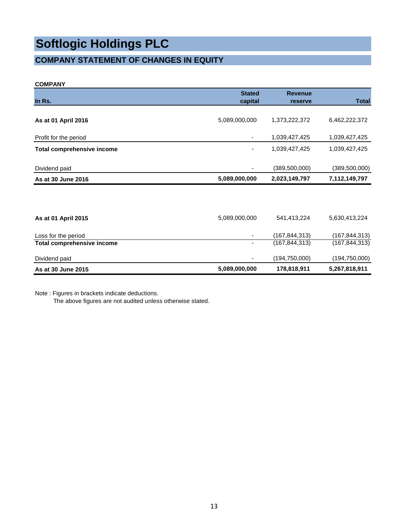### **COMPANY STATEMENT OF CHANGES IN EQUITY**

#### **COMPANY**

|                                   | <b>Stated</b>            | <b>Revenue</b>  |                 |
|-----------------------------------|--------------------------|-----------------|-----------------|
| In Rs.                            | capital                  | reserve         | <b>Total</b>    |
|                                   |                          |                 |                 |
| As at 01 April 2016               | 5,089,000,000            | 1,373,222,372   | 6,462,222,372   |
|                                   |                          |                 |                 |
| Profit for the period             | $\overline{\phantom{a}}$ | 1,039,427,425   | 1,039,427,425   |
| <b>Total comprehensive income</b> | $\overline{\phantom{0}}$ | 1,039,427,425   | 1,039,427,425   |
|                                   |                          |                 |                 |
| Dividend paid                     | ٠                        | (389, 500, 000) | (389, 500, 000) |
| As at 30 June 2016                | 5,089,000,000            | 2,023,149,797   | 7,112,149,797   |
|                                   |                          |                 |                 |
|                                   |                          |                 |                 |
| As at 01 April 2015               | 5,089,000,000            | 541,413,224     | 5,630,413,224   |
|                                   |                          |                 |                 |
| Loss for the period               | ٠                        | (167, 844, 313) | (167, 844, 313) |
| <b>Total comprehensive income</b> | $\overline{\phantom{a}}$ | (167, 844, 313) | (167, 844, 313) |
|                                   |                          |                 |                 |
| Dividend paid                     |                          | (194, 750, 000) | (194, 750, 000) |
| As at 30 June 2015                | 5,089,000,000            | 178,818,911     | 5,267,818,911   |

Note : Figures in brackets indicate deductions.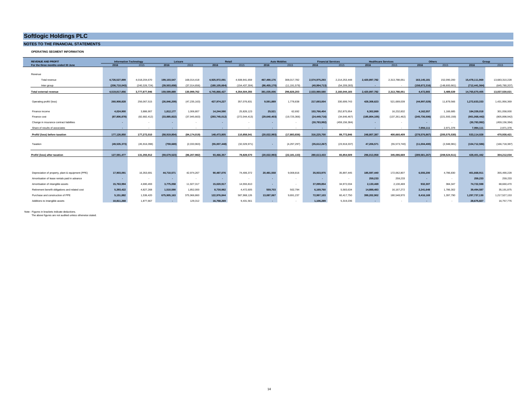#### **NOTES TO THE FINANCIAL STATEMENTS**

**OPERATING SEGMENT INFORMATION**

| <b>REVENUE AND PROFIT</b>                         |                | <b>Information Technology</b> |                | Leisure        | Retail          |                          | <b>Auto Mobiles</b> |                |                | <b>Financial Services</b> | <b>Healthcare Services</b> |                 |                 | Others          | Group           |                 |
|---------------------------------------------------|----------------|-------------------------------|----------------|----------------|-----------------|--------------------------|---------------------|----------------|----------------|---------------------------|----------------------------|-----------------|-----------------|-----------------|-----------------|-----------------|
| For the three months ended 30 June                | 2016           | 2015                          | 2016           | 2015           | 2016            | 2015                     | 2016                | 2015           | 2016           | 2015                      | 2016                       | 2015            | 2016            | 2015            | 2016            | 2015            |
|                                                   |                |                               |                |                |                 |                          |                     |                |                |                           |                            |                 |                 |                 |                 |                 |
| Revenue                                           |                |                               |                |                |                 |                          |                     |                |                |                           |                            |                 |                 |                 |                 |                 |
| Total revenue                                     | 4.726.527.899  | 4.018.204.670                 | 199.103.547    | 168.014.418    | 4.925.972.091   | 4.508.941.659            | 467.490.176         | 308.017.782    | 2.574.975.293  | 2.214.253.448             | 2.420.897.782              | 2.313.788.051   | 163,145,181     | 152.090.200     | 15.478.111.969  | 13,683,310,228  |
| Inter group                                       | (206.710.043)  | (240.326.724)                 | (39,503,658    | (37.014.656)   | (180.105.664)   | (154.437.304)            | (86.455.170)        | (11.191.579)   | (40.994.713)   | (54.209.283)              |                            |                 | (158.672.316)   | (148.600.661)   | (712,441,564)   | (645,780,207)   |
| <b>Total external revenue</b>                     | 4.519.817.856  | 3,777,877,946                 | 159,599,889    | 130.999.762    | 4.745.866.427   | 4,354,504,355            | 381,035,006         | 296,826,203    | 2.533.980.580  | 2,160,044,165             | 2,420,897,782              | 2.313.788.051   | 4.472.865       | 3.489.539       | 14,765,670,405  | 13,037,530,021  |
|                                                   |                |                               |                |                |                 |                          |                     |                |                |                           |                            |                 |                 |                 |                 |                 |
| Operating profit/ (loss)                          | 260,908,828    | 256.067.515                   | (26, 846, 209) | (47, 235, 163) | 427.974.227     | 357,076,831              | 9.591.889           | 1.778.838      | 217.693.004    | 330.699.743               | 428.308.623                | 521.689.039     | (44,997,029)    | 11.879.566      | 1.272.633.333   | 1,431,956,369   |
|                                                   |                |                               |                |                |                 |                          |                     |                |                |                           |                            |                 |                 |                 |                 |                 |
| Finance income                                    | 4.024.900      | 3,886,907                     | 1,812,177      | 1,006,807      | 14,244,590      | 25,826,123               | 25,521              | 62,692         | 153,766,404    | 252,875,954               | 6,302,869                  | 16,232,832      | 4,162,557       | 1,166,685       | 184,339,018     | 301,058,000     |
| Finance cost                                      | (87,806,878)   | (82, 682, 412)                | (33,885,822)   | (37,945,663)   | (293, 745, 012) | (272, 044, 413)          | (29, 640, 403)      | (19, 725, 366) | (24,449,716    | (34.646.467)              | (185.804.105)              | (137, 261, 462) | (245, 736, 506) | (221, 593, 159) | (901, 068, 442) | (805, 898, 942) |
| Change in insurance contract liabilities          |                |                               |                | ٠              |                 | $\overline{\phantom{a}}$ |                     |                | (30, 783, 992) | (459, 156, 384)           |                            |                 |                 | $\sim$          | (30, 783, 992)  | (459, 156, 384) |
| Share of results of associates                    |                |                               |                |                | . .             |                          |                     |                | . .            | $\sim$                    |                            |                 | 7.994.111       | 2.971.378       | 7.994.111       | 2,971,378       |
| Profit/ (loss) before taxation                    | 177.126.850    | 177.272.010                   | (58.919.854)   | (84.174.019)   | 148.473.805     | 110.858.541              | (20.022.993)        | (17.883.836)   | 316.225.700    | 89.772.846                | 248.807.387                | 400.660.409     | (278,576,867)   | (205.575.530)   | 533.114.028     | 470.930.421     |
|                                                   |                |                               |                |                |                 |                          |                     |                |                |                           |                            |                 |                 |                 |                 |                 |
| Taxation                                          | (49, 535, 373) | (45.916.098)                  | (759,669       | (2.033.963)    | (55,007,448)    | (32,029,971)             |                     | (4.297.297)    | (35,612,267)   | (23,918,337)              | 47.206.571                 | (55.573.740)    | (11,004,400)    | (2.948.981)     | (104,712,586)   | (166, 718, 387) |
|                                                   |                |                               |                |                |                 |                          |                     |                |                |                           |                            |                 |                 |                 |                 |                 |
| Profit/ (loss) after taxation                     | 127,591,477    | 131,355,912                   | (59, 679, 523) | (86, 207, 982) | 93,466,357      | 78.828.570               | (20, 022, 993)      | (22.181.133)   | 280.613.433    | 65,854,509                | 296,013,958                | 345,086,669     | (289, 581, 267) | (208.524.511)   | 428,401,442     | 304,212,034     |
|                                                   |                |                               |                |                |                 |                          |                     |                |                |                           |                            |                 |                 |                 |                 |                 |
|                                                   |                |                               |                |                |                 |                          |                     |                |                |                           |                            |                 |                 |                 |                 |                 |
|                                                   | 17,903,091     | 16,353,691                    | 44,710,571     | 42,974,267     | 90,487,076      | 74,406,372               | 20,481,558          | 9.008.816      | 35.933.975     | 35,897,445                | 185,597,440                | 172.062.807     | 6,555,200       | 4,786,830       | 401.668.911     | 355,490,228     |
| Depreciation of property, plant & equipment (PPE) |                |                               |                |                |                 |                          |                     |                |                |                           |                            |                 |                 |                 |                 |                 |
| Amortisation of lease rentals paid in advance     |                | $\sim$                        |                | $\sim$         |                 | $\overline{\phantom{a}}$ |                     | $\sim$         |                | <b>1979</b>               | 259.233                    | 259,233         |                 | $\sim$          | 259,233         | 259,233         |
| Amortisation of intangible assets                 | 15,763,994     | 4.690.493                     | 3,775,058      | 11.927.317     | 15.020.917      | 14,555,810               |                     | $\sim$         | 37.099.854     | 34.972.034                | 2.130.469                  | 2.130.469       | 932.307         | 384,347         | 74.722.598      | 68,660,470      |
| Retirement benefit obligations and related cost   | 5,393,422      | 4,827,268                     | 1,510,590      | 1,852,000      | 8,730,982       | 4,472,605                | 559,703             | 502.794        | 6.169.760      | 5.583.634                 | 14,888,483                 | 16.167.272      | 2.241.648       | 1,786,302       | 39,494,587      | 35,191,875      |
| Purchase and construction of PPE                  | 5.151.882      | 1.536.420                     | 675.905.163    | 375,966,860    | 122.976.844     | 587.968.126              | 13.087.067          | 9.691.237      | 72.997.103     | 60.417.750                | 399.202.902                | 180,548,970     | 8.416.169       | 1,397,790       | 1.297.737.130   | 1,217,527,153   |
| Additions to intangible assets                    | 10.811.268     | 1.877.667                     |                | 129.312        | 16,758,269      | 9.431.561                |                     |                | 1.106.289      | 5.319.236                 |                            |                 | . .             |                 | 28,675,827      | 16,757,776      |

Note : Figures in brackets indicate deductions. The above figures are not audited unless otherwise stated.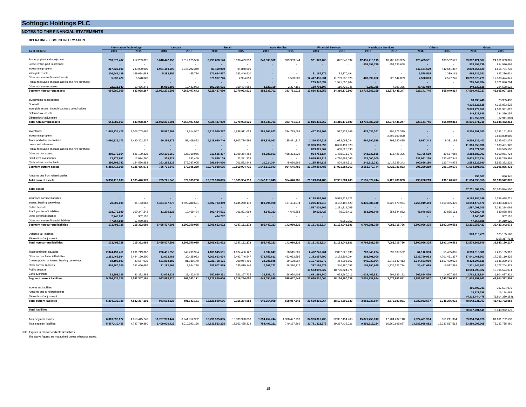**NOTES TO THE FINANCIAL STATEMENTS**

**OPERATING SEGMENT INFORMATION**

|                                                     |               | <b>Information Technology</b> | Leisure        |               | Retail         |                | <b>Auto Mobile:</b> |               | <b>Financial Services</b> |                | <b>Healthcare Services</b> |                |               | <b>Others</b> | Group          |                 |
|-----------------------------------------------------|---------------|-------------------------------|----------------|---------------|----------------|----------------|---------------------|---------------|---------------------------|----------------|----------------------------|----------------|---------------|---------------|----------------|-----------------|
| As at 30 June                                       | 2016          | 2015                          | 2016           | 2015          | 2016           | 2015           | 2016                | 2015          | 2016                      | 2015           | 2016                       | 2015           | 2016          | 2015          | 2016           | 2015            |
|                                                     |               |                               |                |               |                |                |                     |               |                           |                |                            |                |               |               |                |                 |
| Property, plant and equipment                       | 203.572.467   | 212,239,315                   | 9.048.442.153  | 6,612,175,536 | 6.299.628.146  | 5.138.429.393  | 348.509.532         | 379.953.844   | 901.073.405               | 822,042,332    | 12.451.710.113             | 10.788.280.355 | 129,485,551   | 108.532.527   | 29.382.421.367 | 24,061,653,301  |
| Lease rentals paid in advance                       |               |                               |                |               |                |                |                     |               |                           |                | 853,499,739                | 854,536,668    |               |               | 853,499,739    | 854,536,668     |
| Investment property                                 | 217,620,000   | 233,000,000                   | 1,991,480,000  | 1,045,292,349 | 83,400,000     | 94,848,000     |                     |               |                           |                |                            |                | 547,154,629   | 442,641,387   | 2,839,654,629  | 1,815,781,736   |
| Intangible assets                                   | 206,541,139   |                               | 5,383,255      |               | 371,064,567    |                |                     |               |                           | 72.370.494     | ÷                          |                |               | 1,339,161     | 665,735,351    |                 |
|                                                     |               | 169,674,683                   |                | 455,784       |                | 383,446,510    |                     |               | 81, 167, 875              |                |                            |                | 1,578,515     |               |                | 627,286,631     |
| Other non current financial assets                  | 5,035,420     | 5,578,028                     |                |               | 378,997,746    | 2,934,859      |                     | 1,500,000     | 12,417,455,031            | 11,739,338,525 | 408.590.082                | 628,544,889    | 2,500,000     | 2,527,740     | 13,212,578,279 | 12,380,424,041  |
| Rental receivable on lease assets and hire purchase |               |                               |                |               |                |                |                     |               | 265,942,834               | 1,571,696,204  |                            |                |               |               | 265,942,834    | 1,571,696,204   |
| Other non current assets                            | 22.211.043    | 13,476.241                    | 16.966.193     | 10.483.973    | 192.326.631    | 150.434.859    | 3.827.169           | 2.327.169     | 150,793,107               | 110.722.945    | 6.083.335                  | 7.083.335      | 48.423.050    |               | 440.630.528    | 294.528.522     |
| Segment non current assets                          | 654.980.069   | 633.968.267                   | 11.062.271.601 | 7.668.407.642 | 7.325.417.090  | 5.770.093.621  | 352.336.701         | 383.781.012   | 13.816.432.252            | 14,316,170,500 | 13,719,883,269             | 12.278.445.247 | 729.141.745   | 555.040.814   | 47.660.462.727 | 41,605,907,102  |
|                                                     |               |                               |                |               |                |                |                     |               |                           |                |                            |                |               |               |                |                 |
| Investments in associates                           |               |                               |                |               |                |                |                     |               |                           |                |                            |                |               |               | 68,235,448     | 28,355,498      |
| Goodwill                                            |               |                               |                |               |                |                |                     |               |                           |                |                            |                |               |               | 4,115,823,525  | 4,115,823,525   |
| Intangible assets through business combinations     |               |                               |                |               |                |                |                     |               |                           |                |                            |                |               |               | 3,873,472,950  | 4,061,991,022   |
| Deferred tax assets                                 |               |                               |                |               |                |                |                     |               |                           |                |                            |                |               |               | 349,929,886    | 294,316,155     |
| Eliminations/ adiustment                            |               |                               |                |               |                |                |                     |               |                           |                |                            |                |               |               | (31.352.820    | (67.941.089)    |
| <b>Total non current assets</b>                     | 654,980,069   | 633,968,267                   | 11,062,271,601 | 7.668.407.642 | 7,325,417,090  | 5.770.093.621  | 352,336,701         | 383,781,012   | 13.816.432.252            | 14,316,170,500 | 13,719,883,269             | 12,278,445,247 | 729,141,745   | 555,040,814   | 56,036,571,716 | 50.038.452.214  |
|                                                     |               |                               |                |               |                |                |                     |               |                           |                |                            |                |               |               |                |                 |
|                                                     |               |                               |                |               |                |                |                     |               |                           |                |                            |                |               |               |                |                 |
| Inventories                                         | 1,468,235,478 | 1,006,703,667                 | 38,597,662     | 17,914,947    | 5,117,519,387  | 4,838,911,053  | 785,165,923         | 334,725,683   | 467,336,269               | 597,224,749    | 474,036,361                | 395,671,319    |               |               | 8,350,891,080  | 7,191,151,418   |
| Investment property                                 |               |                               |                |               |                |                |                     |               |                           |                |                            | 2,698,000,000  |               |               |                | 2,698,000,000   |
| Trade and other receivables                         | 3,090,926,173 | 2,490,302,237                 | 60,366,972     | 51,409,893    | 4,619,080,746  | 3,807,734,596  | 154,837,063         | 135,871,317   | 1,356,807,629             | 1,092,063,044  | 564,690,516                | 798,340,895    | 9,927,343     | 9,331,192     | 9,856,636,442  | 8,385,053,174   |
| Loans and advances                                  |               |                               |                |               |                |                |                     |               | 11,366,959,896            | 8,630,491,928  |                            |                |               |               | 11,366,959,896 | 8,630,491,928   |
| Rental receivable on lease assets and hire purchase |               |                               |                |               | $\sim$         |                |                     |               | 833,071,307               | 668,525,590    |                            |                |               |               | 833,071,307    | 668,525,590     |
| Other current assets                                | 389.270.954   | 521,199,326                   | 273.176.069    | 226,910,956   | 913.655.337    | 1,199,354,482  | 92.088.693          | 438.393.222   | 924,753,134               | 1,478,011,376  | 643.232.555                | 116,425,306    | 52.705.560    | 30.667.055    | 3.288.882.302  | 4,010,961,724   |
| Short term investments                              | 13,276,661    | 12,674,760                    | 315,221        | 332,460       | 24,829,109     | 22,381,738     |                     |               | 5,015,462,113             | 4,720,483,065  | 228,000,000                |                | 131,941,130   | 132,427,345   | 5.413.824.234  | 4,888,299,368   |
| Cash in hand and at bank                            |               |                               |                |               |                |                |                     | 45.656.562    |                           |                |                            |                |               |               |                |                 |
|                                                     | 396,708,742   | 154,596,983                   | 353,265,922    | 276,037,005   | 295,834,026    | 701,522,848    | 10,024,364          |               | 1,185,494,138             | 804,484,511    | 241,913,312                | 1,417,349,343  | 100,686,186   | 123,744,978   | 2,583,926,690  | 3,523,392,229   |
| <b>Segment current assets</b>                       | 5,358,418,008 | 4,185,476,973                 | 725,721,846    | 572,605,260   | 10,970,918,605 | 10,569,904,716 | 1,042,116,043       | 954,646,785   | 21,149,884,486            | 17,991,284,263 | 2,151,872,744              | 5,425,786,863  | 295,260,219   | 296,170,570   | 41,694,191,951 | 39,995,875,431  |
|                                                     |               |                               |                |               |                |                |                     |               |                           |                |                            |                |               |               |                |                 |
| Amounts due from related parties                    |               |                               |                |               |                |                |                     |               |                           |                |                            |                |               |               | 799,007        | 696,945         |
| <b>Total current assets</b>                         | 5,358,418,008 | 4,185,476,973                 | 725,721,846    | 572,605,260   | 10,970,918,605 | 10,569,904,716 | 1,042,116,043       | 954,646,785   | 21,149,884,486            | 17,991,284,263 | 2,151,872,744              | 5,425,786,863  | 295,260,219   | 296,170,570   | 41,694,990,958 | 39,996,572,376  |
|                                                     |               |                               |                |               |                |                |                     |               |                           |                |                            |                |               |               |                |                 |
| <b>Total assets</b>                                 |               |                               |                |               |                |                |                     |               |                           |                |                            |                |               |               | 97,731,562,674 | 90.035.024.590  |
|                                                     |               |                               |                |               |                |                |                     |               |                           |                |                            |                |               |               |                |                 |
| Insurance contract liabilities                      |               |                               |                |               |                |                |                     |               | 6,188,984,169             | 5,588,428,721  |                            |                |               |               | 6,188,984,169  | 5,588,428,721   |
| Interest bearing borrowings                         | 20,000,000    | 96,163,063                    | 5,454,137,278  | 3,599,280,601 | 2,602,733,359  | 4,245,260,178  | 100,794,900         | 137,434,974   | 3,275,401,213             | 3,182,103,429  | 6,436,386,340              | 6,728,870,964  | 5,754,019,480 | 5,859,385,470 | 23,643,472,570 | 23,848,498,679  |
| Public deposits                                     |               |                               |                |               |                |                |                     |               | 1,597,001,705             | 2,281,214,069  |                            |                |               |               | 1,597,001,705  | 2,281,214,069   |
| Employee benefit liabilities                        | 102.079.989   | 100,347,242                   | 11.270.323     | 10,469,424    | 103,424,521    | 101,891,094    | 4,647,323           | 4,645,353     | 89.625.427                | 75,035,411     | 363,595,040                | 354,844,832    |               |               |                |                 |
| Other deferred liabilities                          | 2.745.851     | 902.116                       |                |               |                |                |                     |               |                           |                |                            |                |               |               |                |                 |
| Other non current financial liabilities             |               |                               |                |               |                |                |                     |               |                           |                |                            |                | 46.046.825    | 32,855,111    | 720,689,448    | 680,088,466     |
| <b>Segment non current liabilities</b>              | 47,667,888    |                               |                |               | 494,792        |                |                     |               |                           |                |                            |                |               |               | 3.240.643      | 902,116         |
|                                                     |               | 17,950,268                    |                |               |                |                |                     |               |                           | 6.260.352      |                            |                |               |               | 47.667.888     | 24,210,620      |
|                                                     | 172,493,728   | 215,362,689                   | 5,465,407,601  | 3,609,750,025 | 2,706,652,672  | 4,347,151,272  | 105,442,223         | 142,080,326   | 11,151,012,514            | 11,133,041,981 | 6,799,981,380              | 7,083,715,796  | 5,800,066,305 | 5,892,240,581 | 32,201,056,423 | 32.423.342.671  |
|                                                     |               |                               |                |               |                |                |                     |               |                           |                |                            |                |               |               |                |                 |
| Deferred tax liabilities                            |               |                               |                |               |                |                |                     |               |                           |                |                            |                |               |               | 373,913,423    | 325,155,160     |
| Eliminations/ adiustment                            |               |                               |                |               |                |                |                     |               |                           |                |                            |                |               |               |                | (208, 317, 714) |
| <b>Total non current liabilities</b>                | 172,493,728   | 215,362,689                   | 5,465,407,601  | 3,609,750,025 | 2,706,652,672  | 4,347,151,272  | 105,442,223         | 142,080,326   | 11,151,012,514            | 11,133,041,981 | 6,799,981,380              | 7,083,715,796  | 5,800,066,305 | 5,892,240,581 | 32,574,969,846 | 32,540,180,117  |
|                                                     |               |                               |                |               |                |                |                     |               |                           |                |                            |                |               |               |                |                 |
| Trade and other payables                            | 2.374.497.411 | 1,691,719,367                 | 236,431,856    | 249,499,994   | 1.108.545.551  | 1.674.486.127  | 6.532.647           | 28,515,361    | 2.422.746.261             | 2,807,525,636  | 767,949,274                | 697.983.562    | 64.112.380    | 55,435,865    | 6.980.815.380  | 7,205,165,913   |
| Other current financial liabilities                 | 2,251,462,984 | 2,444,150,200                 | 32,002,481     | 30,425,953    | 7,263,693,674  | 6,493,746,547  | 573,752,611         | 423,032,695   | 1,382,057,790             | 3,172,304,094  | 202,701,000                |                | 5,935,790,963 | 4,701,451,337 | 17,641,461,503 | 17,265,110,826  |
| Current portion of interest bearing borrowings      | 68,102,893    |                               | 521,898,182    | 81,930,140    | 2,921,708,171  | 390,964,496    | 28,285,845          |               | 1,197,619,272             | 454,296,167    | 945,930,094                | 1,048,842,413  | 2,744,663,069 | 1,557,409,024 | 8,428,207,526  |                 |
| Other current liabilities                           |               | 83,657,939                    |                |               |                |                |                     | 29,198,967    |                           |                |                            |                |               |               |                | 3,646,299,146   |
|                                                     | 516,980,205   | 281,456,697                   | 71,192,168     | 9,764,238     | 182,902,879    | 235,819,146    | 7,601,722           | 58,390,117    | 392,195,679               | 340,180,057    | 105,190,645                | 1,235,521,784  | 35,481,689    | 16,072,891    | 1,311,544,987  | 2,177,204,928   |
| Public deposits                                     |               |                               |                |               |                |                |                     |               | 13,553,999,322            | 10.706.524.074 |                            |                |               |               | 13.553.999.322 | 10,706,524,074  |
| <b>Bank overdrafts</b>                              | 83.893.235    | 31.372.988                    | 82.074.138     | 29.422.845    | 650.030.331    | 521.267.735    | 32.882.173          | 58.920.403    | 1.681.691.740             | 653,560,011    | 1.029.466.831              | 594.636.122    | 202.884.476   | 14.907.816    | 3.762.922.924  | 1.904.087.921   |
| <b>Seament current liabilities</b>                  | 5.294.936.728 | 4,532,357,191                 | 943.598.825    | 401.043.171   | 12.126.880.606 | 9.316.284.052  | 649.054.998         | 598.057.543   | 20.630.310.064            | 18.134.390.039 | 3,051,237,844              | 3.576.983.881  | 8.982.932.577 | 6.345.276.932 | 51.678.951.642 | 42.904.392.809  |
|                                                     |               |                               |                |               |                |                |                     |               |                           |                |                            |                |               |               |                |                 |
| Income tax liabilities                              |               |                               |                |               |                |                |                     |               |                           |                |                            |                |               |               | 456.702.781    | 397,594,970     |
| Amounts due to related parties                      |               |                               |                |               |                |                |                     |               |                           |                |                            |                |               |               | 18,821,758     | 16,124,463      |
| Eliminations/ adiustment                            |               |                               |                |               |                |                |                     |               |                           |                |                            |                |               |               | (4,112,444,478 | (1,914,330,184) |
| <b>Total current liabilities</b>                    | 5,294,936,728 | 4,532,357,191                 | 943,598,825    | 401,043,171   | 12,126,880,606 | 9,316,284,052  | 649,054,998         | 598,057,543   | 20,630,310,064            | 18,134,390,039 | 3,051,237,844              | 3,576,983,881  | 8,982,932,577 | 6,345,276,932 | 48,042,031,703 | 41,403,782,058  |
|                                                     |               |                               |                |               |                |                |                     |               |                           |                |                            |                |               |               |                |                 |
| <b>Total liabilities</b>                            |               |                               |                |               |                |                |                     |               |                           |                |                            |                |               |               | 80,617,001,549 | 73.943.962.175  |
|                                                     |               |                               |                |               |                |                |                     |               |                           |                |                            |                |               |               |                |                 |
| Total segment assets                                | 6,013,398,077 | 4,819,445,240                 | 11,787,993,447 | 8,241,012,902 | 18,296,335,695 | 16,339,998,338 | 1,394,452,744       | 1,338,427,797 | 34,966,316,738            | 32,307,454,763 | 15,871,756,013             | 17,704,232,110 | 1,024,401,964 | 851,211,384   | 89,354,654,678 | 81,601,782,533  |

Note : Figures in brackets indicate deductions.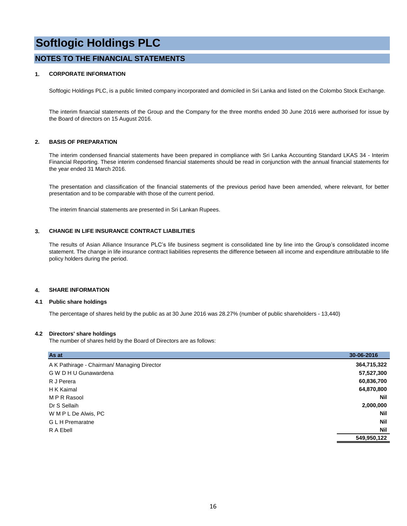#### **NOTES TO THE FINANCIAL STATEMENTS**

#### **1. CORPORATE INFORMATION**

Softlogic Holdings PLC, is a public limited company incorporated and domiciled in Sri Lanka and listed on the Colombo Stock Exchange.

The interim financial statements of the Group and the Company for the three months ended 30 June 2016 were authorised for issue by the Board of directors on 15 August 2016.

#### **2. BASIS OF PREPARATION**

The interim condensed financial statements have been prepared in compliance with Sri Lanka Accounting Standard LKAS 34 - Interim Financial Reporting. These interim condensed financial statements should be read in conjunction with the annual financial statements for the year ended 31 March 2016.

The presentation and classification of the financial statements of the previous period have been amended, where relevant, for better presentation and to be comparable with those of the current period.

The interim financial statements are presented in Sri Lankan Rupees.

#### **3. CHANGE IN LIFE INSURANCE CONTRACT LIABILITIES**

The results of Asian Alliance Insurance PLC's life business segment is consolidated line by line into the Group's consolidated income statement. The change in life insurance contract liabilities represents the difference between all income and expenditure attributable to life policy holders during the period.

#### **4. SHARE INFORMATION**

#### **4.1 Public share holdings**

The percentage of shares held by the public as at 30 June 2016 was 28.27% (number of public shareholders - 13,440)

#### **4.2 Directors' share holdings**

The number of shares held by the Board of Directors are as follows:

| A K Pathirage - Chairman/ Managing Director<br>G W D H U Gunawardena<br>R J Perera<br>H K Kaimal<br>M P R Rasool | As at | 30-06-2016  |
|------------------------------------------------------------------------------------------------------------------|-------|-------------|
|                                                                                                                  |       | 364,715,322 |
|                                                                                                                  |       | 57,527,300  |
|                                                                                                                  |       | 60,836,700  |
|                                                                                                                  |       | 64,870,800  |
|                                                                                                                  |       | Nil         |
| Dr S Sellaih                                                                                                     |       | 2,000,000   |
| W M P L De Alwis, PC                                                                                             |       | Nil         |
| <b>GLH</b> Premaratne                                                                                            |       | Nil         |
| R A Ebell                                                                                                        |       | Nil         |
|                                                                                                                  |       | 549,950,122 |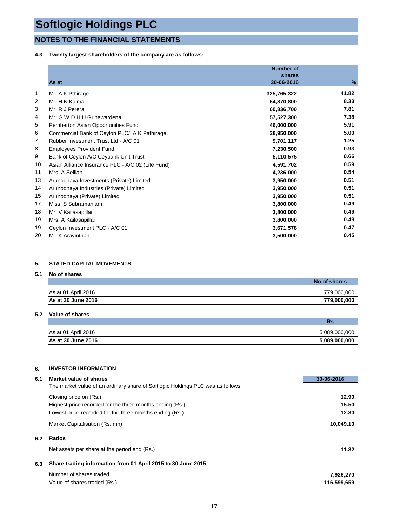### **NOTES TO THE FINANCIAL STATEMENTS**

**4.3 Twenty largest shareholders of the company are as follows:**

|    |                                                   | <b>Number of</b><br>shares |       |
|----|---------------------------------------------------|----------------------------|-------|
|    | As at                                             | 30-06-2016                 | %     |
| 1  | Mr. A K Pthirage                                  | 325,765,322                | 41.82 |
| 2  | Mr. H K Kaimal                                    | 64,870,800                 | 8.33  |
| 3  | Mr. R J Perera                                    | 60,836,700                 | 7.81  |
| 4  | Mr. G W D H U Gunawardena                         | 57,527,300                 | 7.38  |
| 5  | Pemberton Asian Opportunities Fund                | 46,000,000                 | 5.91  |
| 6  | Commercial Bank of Ceylon PLC/ A K Pathirage      | 38,950,000                 | 5.00  |
| 7  | Rubber Investment Trust Ltd - A/C 01              | 9,701,117                  | 1.25  |
| 8  | <b>Employees Provident Fund</b>                   | 7,230,500                  | 0.93  |
| 9  | Bank of Ceylon A/C Ceybank Unit Trust             | 5,110,575                  | 0.66  |
| 10 | Asian Alliance Insurance PLC - A/C 02 (Life Fund) | 4,591,702                  | 0.59  |
| 11 | Mrs. A Selliah                                    | 4,236,000                  | 0.54  |
| 13 | Arunodhaya Investments (Private) Limited          | 3,950,000                  | 0.51  |
| 14 | Arunodhaya Industries (Private) Limited           | 3,950,000                  | 0.51  |
| 15 | Arunodhaya (Private) Limited                      | 3,950,000                  | 0.51  |
| 17 | Miss. S Subramaniam                               | 3,800,000                  | 0.49  |
| 18 | Mr. V Kailasapillai                               | 3,800,000                  | 0.49  |
| 19 | Mrs. A Kailasapillai                              | 3,800,000                  | 0.49  |
| 19 | Ceylon Investment PLC - A/C 01                    | 3,671,578                  | 0.47  |
| 20 | Mr. K Aravinthan                                  | 3,500,000                  | 0.45  |

#### **5. STATED CAPITAL MOVEMENTS**

#### **5.1 No of shares**

|                     | No of shares |
|---------------------|--------------|
| As at 01 April 2016 | 779,000,000  |
| As at 30 June 2016  | 779.000.000  |

#### **5.2 Value of shares**

|                     | Rs            |
|---------------------|---------------|
| As at 01 April 2016 | 5.089.000.000 |
| As at 30 June 2016  | 5,089,000,000 |

#### **6. INVESTOR INFORMATION**

| 6.1 | Market value of shares                                                          | 30-06-2016  |
|-----|---------------------------------------------------------------------------------|-------------|
|     | The market value of an ordinary share of Softlogic Holdings PLC was as follows. |             |
|     | Closing price on (Rs.)                                                          | 12.90       |
|     | Highest price recorded for the three months ending (Rs.)                        | 15.50       |
|     | Lowest price recorded for the three months ending (Rs.)                         | 12.80       |
|     | Market Capitalisation (Rs. mn)                                                  | 10,049.10   |
| 6.2 | <b>Ratios</b>                                                                   |             |
|     | Net assets per share at the period end (Rs.)                                    | 11.82       |
| 6.3 | Share trading information from 01 April 2015 to 30 June 2015                    |             |
|     | Number of shares traded                                                         | 7,926,270   |
|     | Value of shares traded (Rs.)                                                    | 116,599,659 |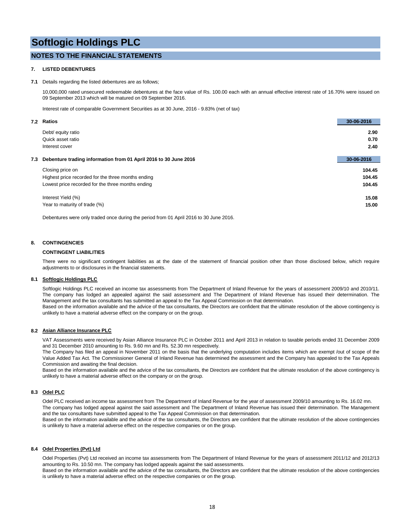#### **NOTES TO THE FINANCIAL STATEMENTS**

#### **7. LISTED DEBENTURES**

#### **7.1** Details regarding the listed debentures are as follows;

10,000,000 rated unsecured redeemable debentures at the face value of Rs. 100.00 each with an annual effective interest rate of 16.70% were issued on 09 September 2013 which will be matured on 09 September 2016.

Interest rate of comparable Government Securities as at 30 June, 2016 - 9.83% (net of tax)

|     | 7.2 Ratios                                                       | 30-06-2016 |
|-----|------------------------------------------------------------------|------------|
|     | Debt/ equity ratio                                               | 2.90       |
|     | Quick asset ratio                                                | 0.70       |
|     | Interest cover                                                   | 2.40       |
|     |                                                                  |            |
| 7.3 | Debenture trading information from 01 April 2016 to 30 June 2016 | 30-06-2016 |
|     | Closing price on                                                 | 104.45     |
|     | Highest price recorded for the three months ending               | 104.45     |
|     | Lowest price recorded for the three months ending                | 104.45     |
|     | Interest Yield (%)                                               | 15.08      |
|     | Year to maturity of trade (%)                                    | 15.00      |
|     |                                                                  |            |

Debentures were only traded once during the period from 01 April 2016 to 30 June 2016.

#### **8. CONTINGENCIES**

#### **CONTINGENT LIABILITIES**

There were no significant contingent liabilities as at the date of the statement of financial position other than those disclosed below, which require adjustments to or disclosures in the financial statements.

#### **8.1 Softlogic Holdings PLC**

Softlogic Holdings PLC received an income tax assessments from The Department of Inland Revenue for the years of assessment 2009/10 and 2010/11. The company has lodged an appealed against the said assessment and The Department of Inland Revenue has issued their determination. The Management and the tax consultants has submitted an appeal to the Tax Appeal Commission on that determination. Based on the information available and the advice of the tax consultants, the Directors are confident that the ultimate resolution of the above contingency is unlikely to have a material adverse effect on the company or on the group.

#### **8.2 Asian Alliance Insurance PLC**

VAT Assessments were received by Asian Alliance Insurance PLC in October 2011 and April 2013 in relation to taxable periods ended 31 December 2009 and 31 December 2010 amounting to Rs. 9.60 mn and Rs. 52.30 mn respectively.

The Company has filed an appeal in November 2011 on the basis that the underlying computation includes items which are exempt /out of scope of the Value Added Tax Act. The Commissioner General of Inland Revenue has determined the assessment and the Company has appealed to the Tax Appeals Commission and awaiting the final decision.

Based on the information available and the advice of the tax consultants, the Directors are confident that the ultimate resolution of the above contingency is unlikely to have a material adverse effect on the company or on the group.

#### **8.3 Odel PLC**

Odel PLC received an income tax assessment from The Department of Inland Revenue for the year of assessment 2009/10 amounting to Rs. 16.02 mn. The company has lodged appeal against the said assessment and The Department of Inland Revenue has issued their determination. The Management

and the tax consultants have submitted appeal to the Tax Appeal Commission on that determination. Based on the information available and the advice of the tax consultants, the Directors are confident that the ultimate resolution of the above contingencies is unlikely to have a material adverse effect on the respective companies or on the group.

#### **8.4 Odel Properties (Pvt) Ltd**

Odel Properties (Pvt) Ltd received an income tax assessments from The Department of Inland Revenue for the years of assessment 2011/12 and 2012/13 amounting to Rs. 10.50 mn. The company has lodged appeals against the said assessments.

Based on the information available and the advice of the tax consultants, the Directors are confident that the ultimate resolution of the above contingencies is unlikely to have a material adverse effect on the respective companies or on the group.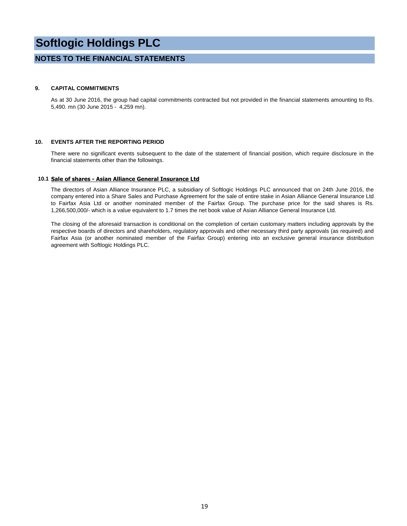#### **NOTES TO THE FINANCIAL STATEMENTS**

#### **9. CAPITAL COMMITMENTS**

As at 30 June 2016, the group had capital commitments contracted but not provided in the financial statements amounting to Rs. 5,490. mn (30 June 2015 - 4,259 mn).

#### **10. EVENTS AFTER THE REPORTING PERIOD**

There were no significant events subsequent to the date of the statement of financial position, which require disclosure in the financial statements other than the followings.

#### **10.1 Sale of shares - Asian Alliance General Insurance Ltd**

The directors of Asian Alliance Insurance PLC, a subsidiary of Softlogic Holdings PLC announced that on 24th June 2016, the company entered into a Share Sales and Purchase Agreement for the sale of entire stake in Asian Alliance General Insurance Ltd to Fairfax Asia Ltd or another nominated member of the Fairfax Group. The purchase price for the said shares is Rs. 1,266,500,000/- which is a value equivalent to 1.7 times the net book value of Asian Alliance General Insurance Ltd.

The closing of the aforesaid transaction is conditional on the completion of certain customary matters including approvals by the respective boards of directors and shareholders, regulatory approvals and other necessary third party approvals (as required) and Fairfax Asia (or another nominated member of the Fairfax Group) entering into an exclusive general insurance distribution agreement with Softlogic Holdings PLC.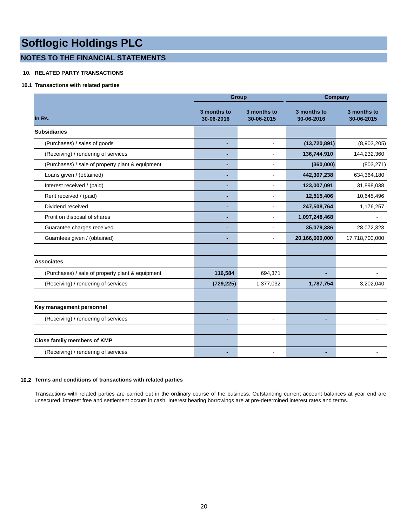### **NOTES TO THE FINANCIAL STATEMENTS**

#### **10. RELATED PARTY TRANSACTIONS**

#### **10.1 Transactions with related parties**

|                                                  |                           | <b>Group</b>              | Company                   |                           |  |  |
|--------------------------------------------------|---------------------------|---------------------------|---------------------------|---------------------------|--|--|
| In Rs.                                           | 3 months to<br>30-06-2016 | 3 months to<br>30-06-2015 | 3 months to<br>30-06-2016 | 3 months to<br>30-06-2015 |  |  |
| <b>Subsidiaries</b>                              |                           |                           |                           |                           |  |  |
| (Purchases) / sales of goods                     |                           | $\mathbf{r}$              | (13,720,891)              | (8,903,205)               |  |  |
| (Receiving) / rendering of services              |                           | $\overline{a}$            | 136,744,910               | 144,232,360               |  |  |
| (Purchases) / sale of property plant & equipment |                           | $\overline{a}$            | (360,000)                 | (803, 271)                |  |  |
| Loans given / (obtained)                         |                           | $\blacksquare$            | 442,307,238               | 634,364,180               |  |  |
| Interest received / (paid)                       |                           |                           | 123,007,091               | 31,898,038                |  |  |
| Rent received / (paid)                           |                           |                           | 12,515,406                | 10,645,496                |  |  |
| Dividend received                                |                           |                           | 247,508,764               | 1,176,257                 |  |  |
| Profit on disposal of shares                     |                           |                           | 1,097,248,468             |                           |  |  |
| Guarantee charges received                       |                           |                           | 35,079,386                | 28,072,323                |  |  |
| Guarntees given / (obtained)                     |                           |                           | 20,166,600,000            | 17,718,700,000            |  |  |
| <b>Associates</b>                                |                           |                           |                           |                           |  |  |
| (Purchases) / sale of property plant & equipment | 116,584                   | 694,371                   |                           |                           |  |  |
| (Receiving) / rendering of services              | (729, 225)                | 1,377,032                 | 1,787,754                 | 3,202,040                 |  |  |
|                                                  |                           |                           |                           |                           |  |  |
| Key management personnel                         |                           |                           |                           |                           |  |  |
| (Receiving) / rendering of services              |                           | $\blacksquare$            |                           |                           |  |  |
|                                                  |                           |                           |                           |                           |  |  |
| Close family members of KMP                      |                           |                           |                           |                           |  |  |
| (Receiving) / rendering of services              |                           |                           |                           |                           |  |  |

#### **10.2 Terms and conditions of transactions with related parties**

Transactions with related parties are carried out in the ordinary course of the business. Outstanding current account balances at year end are unsecured, interest free and settlement occurs in cash. Interest bearing borrowings are at pre-determined interest rates and terms.